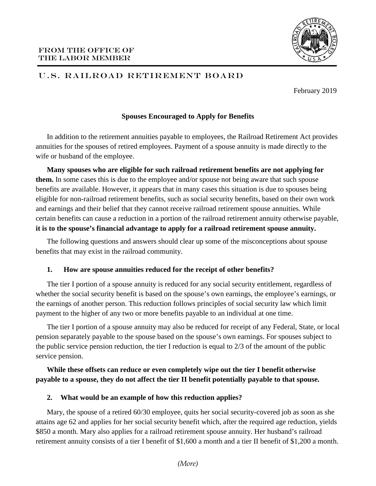

# U.S. RAILROAD RETIREMENT BOARD

February 2019

## **Spouses Encouraged to Apply for Benefits**

In addition to the retirement annuities payable to employees, the Railroad Retirement Act provides annuities for the spouses of retired employees. Payment of a spouse annuity is made directly to the wife or husband of the employee.

**Many spouses who are eligible for such railroad retirement benefits are not applying for them.** In some cases this is due to the employee and/or spouse not being aware that such spouse benefits are available. However, it appears that in many cases this situation is due to spouses being eligible for non-railroad retirement benefits, such as social security benefits, based on their own work and earnings and their belief that they cannot receive railroad retirement spouse annuities. While certain benefits can cause a reduction in a portion of the railroad retirement annuity otherwise payable, **it is to the spouse's financial advantage to apply for a railroad retirement spouse annuity.**

The following questions and answers should clear up some of the misconceptions about spouse benefits that may exist in the railroad community.

### **1. How are spouse annuities reduced for the receipt of other benefits?**

The tier I portion of a spouse annuity is reduced for any social security entitlement, regardless of whether the social security benefit is based on the spouse's own earnings, the employee's earnings, or the earnings of another person. This reduction follows principles of social security law which limit payment to the higher of any two or more benefits payable to an individual at one time.

The tier I portion of a spouse annuity may also be reduced for receipt of any Federal, State, or local pension separately payable to the spouse based on the spouse's own earnings. For spouses subject to the public service pension reduction, the tier I reduction is equal to 2/3 of the amount of the public service pension.

# **While these offsets can reduce or even completely wipe out the tier I benefit otherwise payable to a spouse, they do not affect the tier II benefit potentially payable to that spouse.**

### **2. What would be an example of how this reduction applies?**

Mary, the spouse of a retired 60/30 employee, quits her social security-covered job as soon as she attains age 62 and applies for her social security benefit which, after the required age reduction, yields \$850 a month. Mary also applies for a railroad retirement spouse annuity. Her husband's railroad retirement annuity consists of a tier I benefit of \$1,600 a month and a tier II benefit of \$1,200 a month.